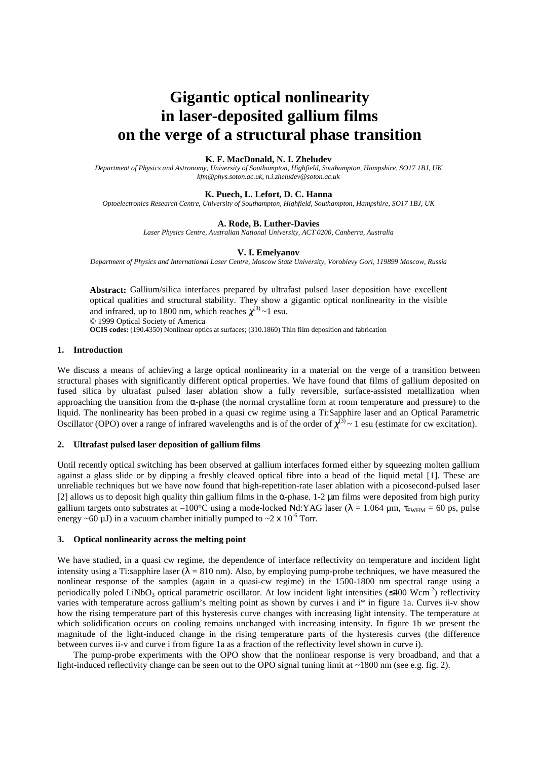# **Gigantic optical nonlinearity in laser-deposited gallium films on the verge of a structural phase transition**

### **K. F. MacDonald, N. I. Zheludev**

*Department of Physics and Astronomy, University of Southampton, Highfield, Southampton, Hampshire, SO17 1BJ, UK kfm@phys.soton.ac.uk, n.i.zheludev@soton.ac.uk*

#### **K. Puech, L. Lefort, D. C. Hanna**

*Optoelectronics Research Centre, University of Southampton, Highfield, Southampton, Hampshire, SO17 1BJ, UK*

#### **A. Rode, B. Luther-Davies**

*Laser Physics Centre, Australian National University, ACT 0200, Canberra, Australia*

#### **V. I. Emelyanov**

*Department of Physics and International Laser Centre, Moscow State University, Vorobievy Gori, 119899 Moscow, Russia*

**Abstract:** Gallium/silica interfaces prepared by ultrafast pulsed laser deposition have excellent optical qualities and structural stability. They show a gigantic optical nonlinearity in the visible and infrared, up to 1800 nm, which reaches  $\chi^{(3)}$  ~1 esu.

© 1999 Optical Society of America

**OCIS codes:** (190.4350) Nonlinear optics at surfaces; (310.1860) Thin film deposition and fabrication

# **1. Introduction**

We discuss a means of achieving a large optical nonlinearity in a material on the verge of a transition between structural phases with significantly different optical properties. We have found that films of gallium deposited on fused silica by ultrafast pulsed laser ablation show a fully reversible, surface-assisted metallization when approaching the transition from the  $\alpha$ -phase (the normal crystalline form at room temperature and pressure) to the liquid. The nonlinearity has been probed in a quasi cw regime using a Ti:Sapphire laser and an Optical Parametric Oscillator (OPO) over a range of infrared wavelengths and is of the order of  $\chi^{(3)} \sim 1$  esu (estimate for cw excitation).

## **2. Ultrafast pulsed laser deposition of gallium films**

Until recently optical switching has been observed at gallium interfaces formed either by squeezing molten gallium against a glass slide or by dipping a freshly cleaved optical fibre into a bead of the liquid metal [1]. These are unreliable techniques but we have now found that high-repetition-rate laser ablation with a picosecond-pulsed laser [2] allows us to deposit high quality thin gallium films in the α-phase. 1-2 µm films were deposited from high purity gallium targets onto substrates at  $-100^{\circ}$ C using a mode-locked Nd:YAG laser ( $\lambda = 1.064$  µm,  $\tau_{FWHM} = 60$  ps, pulse energy ~60  $\mu$ J) in a vacuum chamber initially pumped to ~2 x 10<sup>-6</sup> Torr.

# **3. Optical nonlinearity across the melting point**

We have studied, in a quasi cw regime, the dependence of interface reflectivity on temperature and incident light intensity using a Ti:sapphire laser ( $\lambda = 810$  nm). Also, by employing pump-probe techniques, we have measured the nonlinear response of the samples (again in a quasi-cw regime) in the 1500-1800 nm spectral range using a periodically poled LiNbO<sub>3</sub> optical parametric oscillator. At low incident light intensities ( $\leq 400$  Wcm<sup>-2</sup>) reflectivity varies with temperature across gallium's melting point as shown by curves i and i\* in figure 1a. Curves ii-v show how the rising temperature part of this hysteresis curve changes with increasing light intensity. The temperature at which solidification occurs on cooling remains unchanged with increasing intensity. In figure 1b we present the magnitude of the light-induced change in the rising temperature parts of the hysteresis curves (the difference between curves ii-v and curve i from figure 1a as a fraction of the reflectivity level shown in curve i).

The pump-probe experiments with the OPO show that the nonlinear response is very broadband, and that a light-induced reflectivity change can be seen out to the OPO signal tuning limit at ~1800 nm (see e.g. fig. 2).